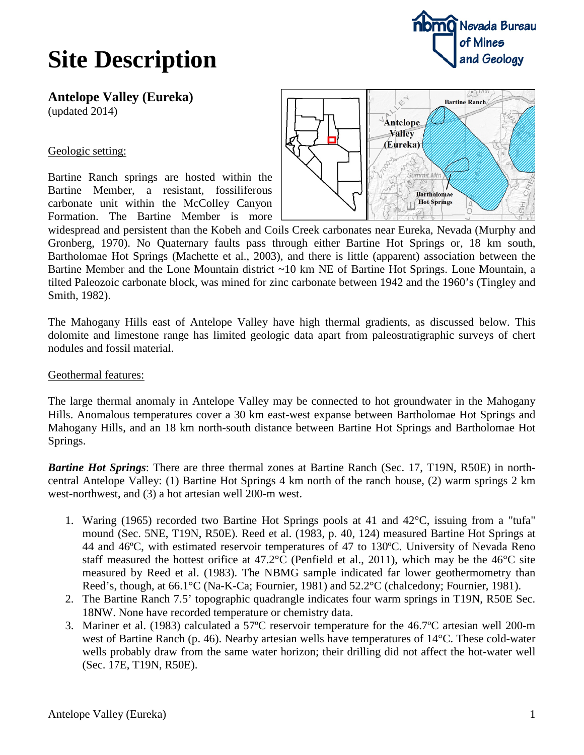# **Site Description**



**Antelope Valley (Eureka)** (updated 2014)

#### Geologic setting:

Bartine Ranch springs are hosted within the Bartine Member, a resistant, fossiliferous carbonate unit within the McColley Canyon Formation. The Bartine Member is more



widespread and persistent than the Kobeh and Coils Creek carbonates near Eureka, Nevada (Murphy and Gronberg, 1970). No Quaternary faults pass through either Bartine Hot Springs or, 18 km south, Bartholomae Hot Springs (Machette et al., 2003), and there is little (apparent) association between the Bartine Member and the Lone Mountain district ~10 km NE of Bartine Hot Springs. Lone Mountain, a tilted Paleozoic carbonate block, was mined for zinc carbonate between 1942 and the 1960's (Tingley and Smith, 1982).

The Mahogany Hills east of Antelope Valley have high thermal gradients, as discussed below. This dolomite and limestone range has limited geologic data apart from paleostratigraphic surveys of chert nodules and fossil material.

#### Geothermal features:

The large thermal anomaly in Antelope Valley may be connected to hot groundwater in the Mahogany Hills. Anomalous temperatures cover a 30 km east-west expanse between Bartholomae Hot Springs and Mahogany Hills, and an 18 km north-south distance between Bartine Hot Springs and Bartholomae Hot Springs.

*Bartine Hot Springs*: There are three thermal zones at Bartine Ranch (Sec. 17, T19N, R50E) in northcentral Antelope Valley: (1) Bartine Hot Springs 4 km north of the ranch house, (2) warm springs 2 km west-northwest, and (3) a hot artesian well 200-m west.

- 1. Waring (1965) recorded two Bartine Hot Springs pools at 41 and 42°C, issuing from a "tufa" mound (Sec. 5NE, T19N, R50E). Reed et al. (1983, p. 40, 124) measured Bartine Hot Springs at 44 and 46ºC, with estimated reservoir temperatures of 47 to 130ºC. University of Nevada Reno staff measured the hottest orifice at 47.2°C (Penfield et al., 2011), which may be the 46°C site measured by Reed et al. (1983). The NBMG sample indicated far lower geothermometry than Reed's, though, at 66.1°C (Na-K-Ca; Fournier, 1981) and 52.2°C (chalcedony; Fournier, 1981).
- 2. The Bartine Ranch 7.5' topographic quadrangle indicates four warm springs in T19N, R50E Sec. 18NW. None have recorded temperature or chemistry data.
- 3. Mariner et al. (1983) calculated a 57ºC reservoir temperature for the 46.7ºC artesian well 200-m west of Bartine Ranch (p. 46). Nearby artesian wells have temperatures of 14°C. These cold-water wells probably draw from the same water horizon; their drilling did not affect the hot-water well (Sec. 17E, T19N, R50E).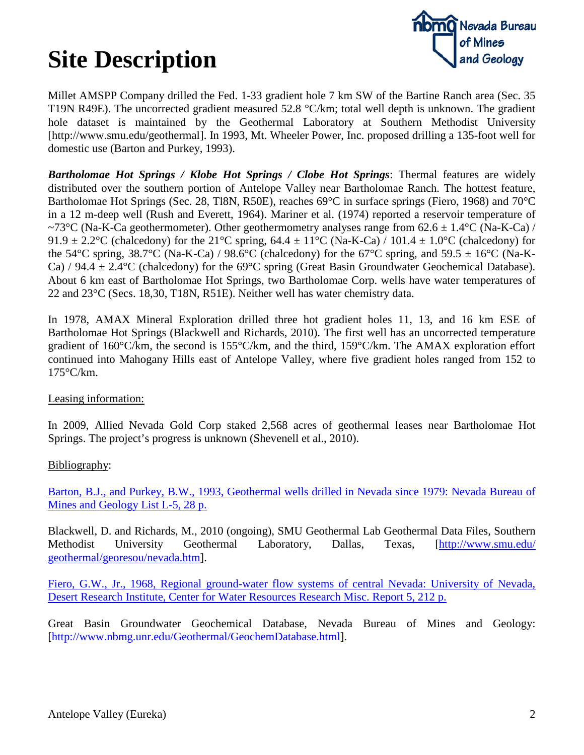# **Site Description**



Millet AMSPP Company drilled the Fed. 1-33 gradient hole 7 km SW of the Bartine Ranch area (Sec. 35 T19N R49E). The uncorrected gradient measured 52.8 °C/km; total well depth is unknown. The gradient hole dataset is maintained by the Geothermal Laboratory at Southern Methodist University [http://www.smu.edu/geothermal]. In 1993, Mt. Wheeler Power, Inc. proposed drilling a 135-foot well for domestic use (Barton and Purkey, 1993).

*Bartholomae Hot Springs / Klobe Hot Springs / Clobe Hot Springs*: Thermal features are widely distributed over the southern portion of Antelope Valley near Bartholomae Ranch. The hottest feature, Bartholomae Hot Springs (Sec. 28, Tl8N, R50E), reaches 69°C in surface springs (Fiero, 1968) and 70°C in a 12 m-deep well (Rush and Everett, 1964). Mariner et al. (1974) reported a reservoir temperature of ~73°C (Na-K-Ca geothermometer). Other geothermometry analyses range from  $62.6 \pm 1.4$ °C (Na-K-Ca) / 91.9  $\pm$  2.2°C (chalcedony) for the 21°C spring, 64.4  $\pm$  11°C (Na-K-Ca) / 101.4  $\pm$  1.0°C (chalcedony) for the 54°C spring, 38.7°C (Na-K-Ca) / 98.6°C (chalcedony) for the 67°C spring, and 59.5  $\pm$  16°C (Na-K-Ca) / 94.4  $\pm$  2.4°C (chalcedony) for the 69°C spring (Great Basin Groundwater Geochemical Database). About 6 km east of Bartholomae Hot Springs, two Bartholomae Corp. wells have water temperatures of 22 and 23°C (Secs. 18,30, T18N, R51E). Neither well has water chemistry data.

In 1978, AMAX Mineral Exploration drilled three hot gradient holes 11, 13, and 16 km ESE of Bartholomae Hot Springs (Blackwell and Richards, 2010). The first well has an uncorrected temperature gradient of 160°C/km, the second is 155°C/km, and the third, 159°C/km. The AMAX exploration effort continued into Mahogany Hills east of Antelope Valley, where five gradient holes ranged from 152 to 175°C/km.

### Leasing information:

In 2009, Allied Nevada Gold Corp staked 2,568 acres of geothermal leases near Bartholomae Hot Springs. The project's progress is unknown (Shevenell et al., 2010).

### Bibliography:

[Barton, B.J., and Purkey, B.W., 1993, Geothermal wells drilled in Nevada since 1979: Nevada Bureau of](http://www.nbmg.unr.edu/geothermal/mapfiles/nvgeowel.html)  [Mines and Geology List L-5, 28 p.](http://www.nbmg.unr.edu/geothermal/mapfiles/nvgeowel.html)

Blackwell, D. and Richards, M., 2010 (ongoing), SMU Geothermal Lab Geothermal Data Files, Southern Methodist University Geothermal Laboratory, Dallas, Texas, [\[http://www.smu.edu/](http://www.smu.edu/%20geothermal/georesou/nevada.htm)  [geothermal/georesou/nevada.htm\]](http://www.smu.edu/%20geothermal/georesou/nevada.htm).

[Fiero, G.W., Jr., 1968, Regional ground-water flow systems of central Nevada: University of Nevada,](http://digitalscholarship.unlv.edu/cgi/viewcontent.cgi?article=2420&context=thesesdissertations)  [Desert Research Institute, Center for Water Resources Research Misc. Report 5, 212 p.](http://digitalscholarship.unlv.edu/cgi/viewcontent.cgi?article=2420&context=thesesdissertations)

Great Basin Groundwater Geochemical Database, Nevada Bureau of Mines and Geology: [\[http://www.nbmg.unr.edu/Geothermal/GeochemDatabase.html\]](http://www.nbmg.unr.edu/Geothermal/GeochemDatabase.html).